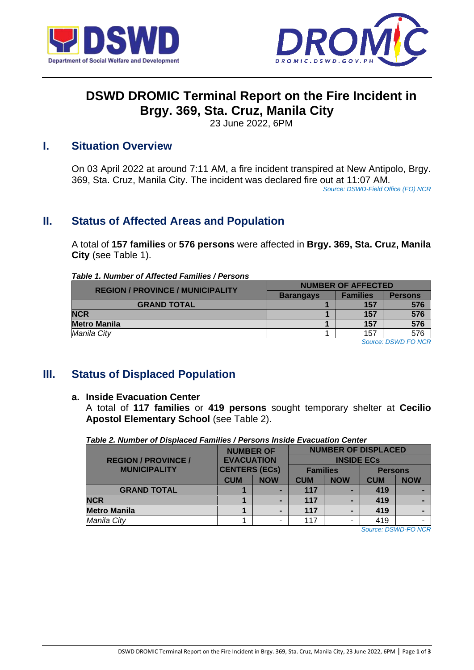



# **DSWD DROMIC Terminal Report on the Fire Incident in Brgy. 369, Sta. Cruz, Manila City**

23 June 2022, 6PM

### **I. Situation Overview**

On 03 April 2022 at around 7:11 AM, a fire incident transpired at New Antipolo, Brgy. 369, Sta. Cruz, Manila City. The incident was declared fire out at 11:07 AM.

*Source: DSWD-Field Office (FO) NCR*

## **II. Status of Affected Areas and Population**

A total of **157 families** or **576 persons** were affected in **Brgy. 369, Sta. Cruz, Manila City** (see Table 1).

#### *Table 1. Number of Affected Families / Persons*

| <b>REGION / PROVINCE / MUNICIPALITY</b> | <b>NUMBER OF AFFECTED</b> |                 |                |  |  |
|-----------------------------------------|---------------------------|-----------------|----------------|--|--|
|                                         | <b>Barangays</b>          | <b>Families</b> | <b>Persons</b> |  |  |
| <b>GRAND TOTAL</b>                      |                           | 157             | 576            |  |  |
| <b>NCR</b>                              |                           | 157             | 576            |  |  |
| <b>Metro Manila</b>                     |                           | 157             | 576            |  |  |
| Manila City                             |                           | 157             | 576            |  |  |

*Source: DSWD FO NCR*

## **III. Status of Displaced Population**

#### **a. Inside Evacuation Center**

A total of **117 families** or **419 persons** sought temporary shelter at **Cecilio Apostol Elementary School** (see Table 2).

| <u>rabie z. Namber of Displaced Families / Fersons inside Evacuation Ochter</u> |                                                                                           |  |                            |                   |                |                  |  |  |
|---------------------------------------------------------------------------------|-------------------------------------------------------------------------------------------|--|----------------------------|-------------------|----------------|------------------|--|--|
|                                                                                 | <b>NUMBER OF</b><br><b>EVACUATION</b><br><b>CENTERS (ECs)</b><br><b>CUM</b><br><b>NOW</b> |  | <b>NUMBER OF DISPLACED</b> |                   |                |                  |  |  |
| <b>REGION / PROVINCE /</b>                                                      |                                                                                           |  |                            | <b>INSIDE ECS</b> |                |                  |  |  |
| <b>MUNICIPALITY</b>                                                             |                                                                                           |  | <b>Families</b>            |                   | <b>Persons</b> |                  |  |  |
|                                                                                 |                                                                                           |  | <b>CUM</b>                 | <b>NOW</b>        | <b>CUM</b>     | <b>NOW</b>       |  |  |
| <b>GRAND TOTAL</b>                                                              |                                                                                           |  | 117                        |                   | 419            |                  |  |  |
| <b>NCR</b>                                                                      |                                                                                           |  | 117                        |                   | 419            |                  |  |  |
| <b>Metro Manila</b>                                                             |                                                                                           |  | 117                        |                   | 419            |                  |  |  |
| Manila City                                                                     |                                                                                           |  | 117                        |                   | 419            |                  |  |  |
|                                                                                 |                                                                                           |  |                            |                   | $\sim$         | $-0.115 - 0.107$ |  |  |

*Table 2. Number of Displaced Families / Persons Inside Evacuation Center*

*Source: DSWD-FO NCR*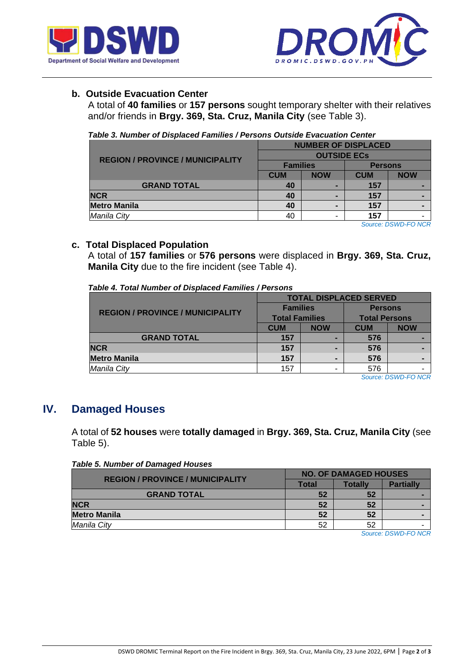



#### **b. Outside Evacuation Center**

A total of **40 families** or **157 persons** sought temporary shelter with their relatives and/or friends in **Brgy. 369, Sta. Cruz, Manila City** (see Table 3).

|  | Table 3. Number of Displaced Families / Persons Outside Evacuation Center |  |  |  |
|--|---------------------------------------------------------------------------|--|--|--|
|  |                                                                           |  |  |  |

| <b>REGION / PROVINCE / MUNICIPALITY</b> | <b>NUMBER OF DISPLACED</b> |            |                |            |  |  |
|-----------------------------------------|----------------------------|------------|----------------|------------|--|--|
|                                         | <b>OUTSIDE ECS</b>         |            |                |            |  |  |
|                                         | <b>Families</b>            |            | <b>Persons</b> |            |  |  |
|                                         | <b>CUM</b>                 | <b>NOW</b> | <b>CUM</b>     | <b>NOW</b> |  |  |
| <b>GRAND TOTAL</b>                      | 40                         |            |                |            |  |  |
| <b>NCR</b>                              | 40                         |            | 157            |            |  |  |
| <b>Metro Manila</b>                     | 40                         |            | 157            |            |  |  |
| Manila City                             | 40                         |            | 157            |            |  |  |

*Source: DSWD-FO NCR*

#### **c. Total Displaced Population**

A total of **157 families** or **576 persons** were displaced in **Brgy. 369, Sta. Cruz, Manila City** due to the fire incident (see Table 4).

| Table 4. Total Number of Displaced Families / Persons |  |
|-------------------------------------------------------|--|
|-------------------------------------------------------|--|

|                                         | <b>TOTAL DISPLACED SERVED</b> |            |                      |            |  |  |  |
|-----------------------------------------|-------------------------------|------------|----------------------|------------|--|--|--|
| <b>REGION / PROVINCE / MUNICIPALITY</b> | <b>Families</b>               |            | <b>Persons</b>       |            |  |  |  |
|                                         | <b>Total Families</b>         |            | <b>Total Persons</b> |            |  |  |  |
|                                         | <b>CUM</b>                    | <b>NOW</b> | <b>CUM</b>           | <b>NOW</b> |  |  |  |
| <b>GRAND TOTAL</b>                      | 157                           |            | 576                  |            |  |  |  |
| <b>NCR</b>                              | 157                           |            | 576                  |            |  |  |  |
| <b>Metro Manila</b>                     | 157                           |            | 576                  |            |  |  |  |
| Manila City                             | 157                           |            | 576                  |            |  |  |  |

*Source: DSWD-FO NCR*

### **IV. Damaged Houses**

A total of **52 houses** were **totally damaged** in **Brgy. 369, Sta. Cruz, Manila City** (see Table 5).

*Table 5. Number of Damaged Houses*

| <b>REGION / PROVINCE / MUNICIPALITY</b> | <b>NO. OF DAMAGED HOUSES</b> |                |                  |  |  |
|-----------------------------------------|------------------------------|----------------|------------------|--|--|
|                                         | Total                        | <b>Totally</b> | <b>Partially</b> |  |  |
| <b>GRAND TOTAL</b>                      | 52                           | 52             |                  |  |  |
| <b>NCR</b>                              | 52                           | 52             |                  |  |  |
| <b>Metro Manila</b>                     | 52                           | 52             |                  |  |  |
| Manila City                             | 52                           | 52             |                  |  |  |
|                                         |                              |                | ----------       |  |  |

*Source: DSWD-FO NCR*